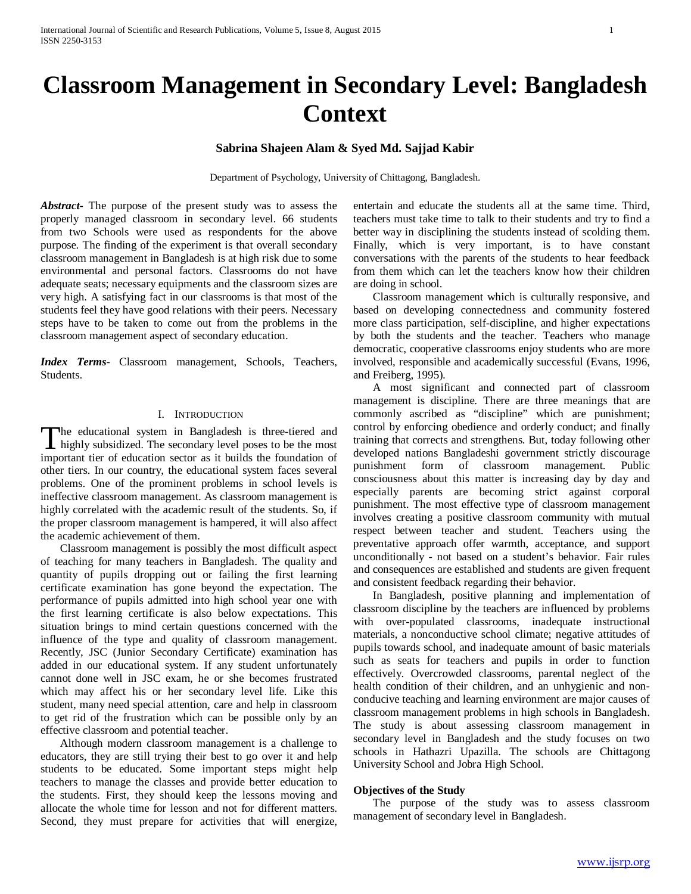# **Classroom Management in Secondary Level: Bangladesh Context**

# **Sabrina Shajeen Alam & Syed Md. Sajjad Kabir**

Department of Psychology, University of Chittagong, Bangladesh.

*Abstract***-** The purpose of the present study was to assess the properly managed classroom in secondary level. 66 students from two Schools were used as respondents for the above purpose. The finding of the experiment is that overall secondary classroom management in Bangladesh is at high risk due to some environmental and personal factors. Classrooms do not have adequate seats; necessary equipments and the classroom sizes are very high. A satisfying fact in our classrooms is that most of the students feel they have good relations with their peers. Necessary steps have to be taken to come out from the problems in the classroom management aspect of secondary education.

*Index Terms*- Classroom management, Schools, Teachers, Students.

## I. INTRODUCTION

he educational system in Bangladesh is three-tiered and The educational system in Bangladesh is three-tiered and highly subsidized. The secondary level poses to be the most important tier of education sector as it builds the foundation of other tiers. In our country, the educational system faces several problems. One of the prominent problems in school levels is ineffective classroom management. As classroom management is highly correlated with the academic result of the students. So, if the proper classroom management is hampered, it will also affect the academic achievement of them.

 Classroom management is possibly the most difficult aspect of teaching for many teachers in Bangladesh. The quality and quantity of pupils dropping out or failing the first learning certificate examination has gone beyond the expectation. The performance of pupils admitted into high school year one with the first learning certificate is also below expectations. This situation brings to mind certain questions concerned with the influence of the type and quality of classroom management. Recently, JSC (Junior Secondary Certificate) examination has added in our educational system. If any student unfortunately cannot done well in JSC exam, he or she becomes frustrated which may affect his or her secondary level life. Like this student, many need special attention, care and help in classroom to get rid of the frustration which can be possible only by an effective classroom and potential teacher.

 Although modern classroom management is a challenge to educators, they are still trying their best to go over it and help students to be educated. Some important steps might help teachers to manage the classes and provide better education to the students. First, they should keep the lessons moving and allocate the whole time for lesson and not for different matters. Second, they must prepare for activities that will energize, entertain and educate the students all at the same time. Third, teachers must take time to talk to their students and try to find a better way in disciplining the students instead of scolding them. Finally, which is very important, is to have constant conversations with the parents of the students to hear feedback from them which can let the teachers know how their children are doing in school.

 Classroom management which is culturally responsive, and based on developing connectedness and community fostered more class participation, self-discipline, and higher expectations by both the students and the teacher. Teachers who manage democratic, cooperative classrooms enjoy students who are more involved, responsible and academically successful (Evans, 1996, and Freiberg, 1995).

 A most significant and connected part of classroom management is discipline. There are three meanings that are commonly ascribed as "discipline" which are punishment; control by enforcing obedience and orderly conduct; and finally training that corrects and strengthens. But, today following other developed nations Bangladeshi government strictly discourage punishment form of classroom management. Public consciousness about this matter is increasing day by day and especially parents are becoming strict against corporal punishment. The most effective type of classroom management involves creating a positive classroom community with mutual respect between teacher and student. Teachers using the preventative approach offer warmth, acceptance, and support unconditionally - not based on a student's behavior. Fair rules and consequences are established and students are given frequent and consistent feedback regarding their behavior.

 In Bangladesh, positive planning and implementation of classroom discipline by the teachers are influenced by problems with over-populated classrooms, inadequate instructional materials, a nonconductive school climate; negative attitudes of pupils towards school, and inadequate amount of basic materials such as seats for teachers and pupils in order to function effectively. Overcrowded classrooms, parental neglect of the health condition of their children, and an unhygienic and nonconducive teaching and learning environment are major causes of classroom management problems in high schools in Bangladesh. The study is about assessing classroom management in secondary level in Bangladesh and the study focuses on two schools in Hathazri Upazilla. The schools are Chittagong University School and Jobra High School.

# **Objectives of the Study**

 The purpose of the study was to assess classroom management of secondary level in Bangladesh.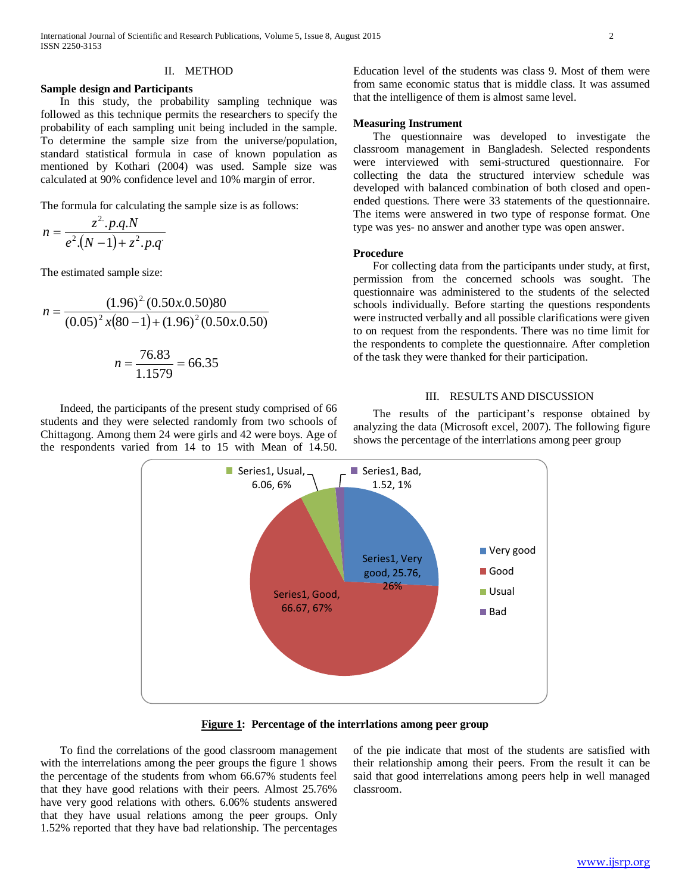## II. METHOD

#### **Sample design and Participants**

 In this study, the probability sampling technique was followed as this technique permits the researchers to specify the probability of each sampling unit being included in the sample. To determine the sample size from the universe/population, standard statistical formula in case of known population as mentioned by Kothari (2004) was used. Sample size was calculated at 90% confidence level and 10% margin of error.

The formula for calculating the sample size is as follows:

$$
n = \frac{z^2 \cdot p.q.N}{e^2 \cdot (N-1) + z^2 \cdot p.q}
$$

The estimated sample size:

$$
n = \frac{(1.96)^2 (0.50x.0.50)80}{(0.05)^2 x (80 - 1) + (1.96)^2 (0.50x.0.50)}
$$

$$
n = \frac{76.83}{1.1579} = 66.35
$$

 Indeed, the participants of the present study comprised of 66 students and they were selected randomly from two schools of Chittagong. Among them 24 were girls and 42 were boys. Age of the respondents varied from 14 to 15 with Mean of 14.50.

Education level of the students was class 9. Most of them were from same economic status that is middle class. It was assumed that the intelligence of them is almost same level.

### **Measuring Instrument**

 The questionnaire was developed to investigate the classroom management in Bangladesh. Selected respondents were interviewed with semi-structured questionnaire. For collecting the data the structured interview schedule was developed with balanced combination of both closed and openended questions. There were 33 statements of the questionnaire. The items were answered in two type of response format. One type was yes- no answer and another type was open answer.

## **Procedure**

 For collecting data from the participants under study, at first, permission from the concerned schools was sought. The questionnaire was administered to the students of the selected schools individually. Before starting the questions respondents were instructed verbally and all possible clarifications were given to on request from the respondents. There was no time limit for the respondents to complete the questionnaire. After completion of the task they were thanked for their participation.

## III. RESULTS AND DISCUSSION

 The results of the participant's response obtained by analyzing the data (Microsoft excel, 2007). The following figure shows the percentage of the interrlations among peer group



**Figure 1: Percentage of the interrlations among peer group**

 To find the correlations of the good classroom management with the interrelations among the peer groups the figure 1 shows the percentage of the students from whom 66.67% students feel that they have good relations with their peers. Almost 25.76% have very good relations with others. 6.06% students answered that they have usual relations among the peer groups. Only 1.52% reported that they have bad relationship. The percentages of the pie indicate that most of the students are satisfied with their relationship among their peers. From the result it can be said that good interrelations among peers help in well managed classroom.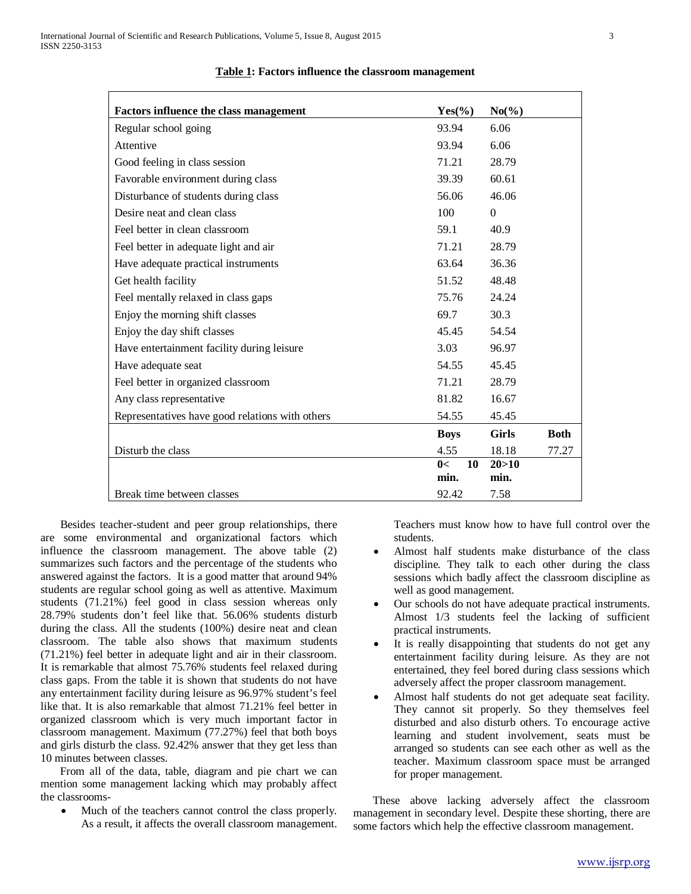| Factors influence the class management          | $Yes(\%)$   | $No(\%)$     |             |
|-------------------------------------------------|-------------|--------------|-------------|
| Regular school going                            | 93.94       | 6.06         |             |
| Attentive                                       | 93.94       | 6.06         |             |
| Good feeling in class session                   | 71.21       | 28.79        |             |
| Favorable environment during class              | 39.39       | 60.61        |             |
| Disturbance of students during class            | 56.06       | 46.06        |             |
| Desire neat and clean class                     | 100         | $\Omega$     |             |
| Feel better in clean classroom                  | 59.1        | 40.9         |             |
| Feel better in adequate light and air           | 71.21       | 28.79        |             |
| Have adequate practical instruments             | 63.64       | 36.36        |             |
| Get health facility                             | 51.52       | 48.48        |             |
| Feel mentally relaxed in class gaps             | 75.76       | 24.24        |             |
| Enjoy the morning shift classes                 | 69.7        | 30.3         |             |
| Enjoy the day shift classes                     | 45.45       | 54.54        |             |
| Have entertainment facility during leisure      | 3.03        | 96.97        |             |
| Have adequate seat                              | 54.55       | 45.45        |             |
| Feel better in organized classroom              | 71.21       | 28.79        |             |
| Any class representative                        | 81.82       | 16.67        |             |
| Representatives have good relations with others | 54.55       | 45.45        |             |
|                                                 | <b>Boys</b> | <b>Girls</b> | <b>Both</b> |
| Disturb the class                               | 4.55        | 18.18        | 77.27       |
|                                                 | 0<<br>10    | 20 > 10      |             |
|                                                 | min.        | min.         |             |
| Break time between classes                      | 92.42       | 7.58         |             |

#### **Table 1: Factors influence the classroom management**

 Besides teacher-student and peer group relationships, there are some environmental and organizational factors which influence the classroom management. The above table (2) summarizes such factors and the percentage of the students who answered against the factors. It is a good matter that around 94% students are regular school going as well as attentive. Maximum students (71.21%) feel good in class session whereas only 28.79% students don't feel like that. 56.06% students disturb during the class. All the students (100%) desire neat and clean classroom. The table also shows that maximum students (71.21%) feel better in adequate light and air in their classroom. It is remarkable that almost 75.76% students feel relaxed during class gaps. From the table it is shown that students do not have any entertainment facility during leisure as 96.97% student's feel like that. It is also remarkable that almost 71.21% feel better in organized classroom which is very much important factor in classroom management. Maximum (77.27%) feel that both boys and girls disturb the class. 92.42% answer that they get less than 10 minutes between classes.

 From all of the data, table, diagram and pie chart we can mention some management lacking which may probably affect the classrooms-

Much of the teachers cannot control the class properly. As a result, it affects the overall classroom management. Teachers must know how to have full control over the students.

- Almost half students make disturbance of the class discipline. They talk to each other during the class sessions which badly affect the classroom discipline as well as good management.
- Our schools do not have adequate practical instruments. Almost 1/3 students feel the lacking of sufficient practical instruments.
- It is really disappointing that students do not get any entertainment facility during leisure. As they are not entertained, they feel bored during class sessions which adversely affect the proper classroom management.
- Almost half students do not get adequate seat facility. They cannot sit properly. So they themselves feel disturbed and also disturb others. To encourage active learning and student involvement, seats must be arranged so students can see each other as well as the teacher. Maximum classroom space must be arranged for proper management.

 These above lacking adversely affect the classroom management in secondary level. Despite these shorting, there are some factors which help the effective classroom management.